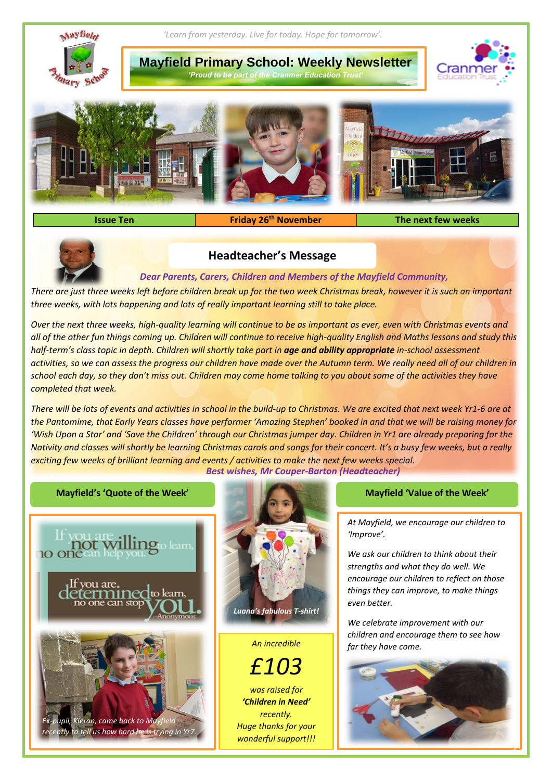

**Issue Ten Friday 26th November The next few weeks**



# **Headteacher's Message**

*Dear Parents, Carers, Children and Members of the Mayfield Community,*

*There are just three weeks left before children break up for the two week Christmas break, however it is such an important three weeks, with lots happening and lots of really important learning still to take place.*

*Over the next three weeks, high-quality learning will continue to be as important as ever, even with Christmas events and all of the other fun things coming up. Children will continue to receive high-quality English and Maths lessons and study this half-term's class topic in depth. Children will shortly take part in age and ability appropriate in-school assessment activities, so we can assess the progress our children have made over the Autumn term. We really need all of our children in school each day, so they don't miss out. Children may come home talking to you about some of the activities they have completed that week.*

*There will be lots of events and activities in school in the build-up to Christmas. We are excited that next week Yr1-6 are at the Pantomime, that Early Years classes have performer 'Amazing Stephen' booked in and that we will be raising money for 'Wish Upon a Star' and 'Save the Children' through our Christmas jumper day. Children in Yr1 are already preparing for the Nativity and classes will shortly be learning Christmas carols and songs for their concert. It's a busy few weeks, but a really exciting few weeks of brilliant learning and events / activities to make the next few weeks special. Best wishes, Mr Couper-Barton (Headteacher)*



*At Mayfield, we encourage our children to 'Improve'.*

*We ask our children to think about their strengths and what they do well. We encourage our children to reflect on those things they can improve, to make things even better.* 

*We celebrate improvement with our children and encourage them to see how far they have come. An incredible*

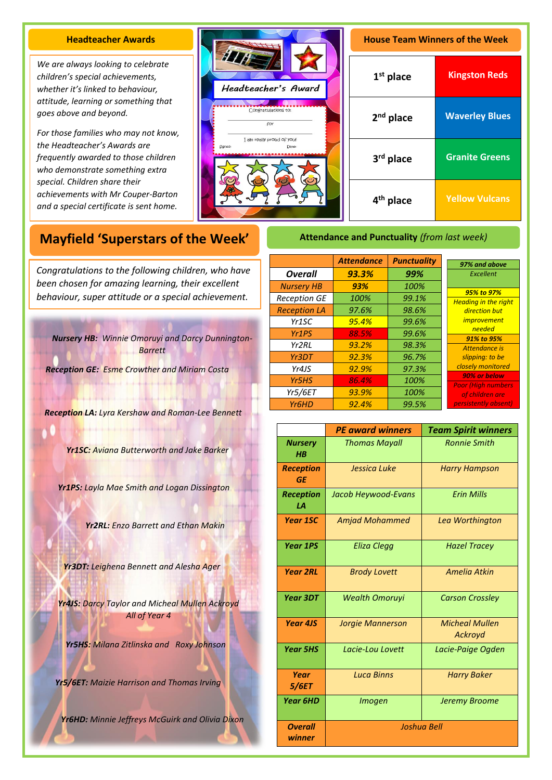## **Headteacher Awards**

*We are always looking to celebrate children's special achievements, whether it's linked to behaviour, attitude, learning or something that goes above and beyond.* 

*For those families who may not know, the Headteacher's Awards are frequently awarded to those children who demonstrate something extra special. Children share their achievements with Mr Couper-Barton and a special certificate is sent home.*



| <b>House Team Winners of the Week</b> |                       |  |
|---------------------------------------|-----------------------|--|
| $1st$ place                           | <b>Kingston Reds</b>  |  |
| 2 <sup>nd</sup> place                 | <b>Waverley Blues</b> |  |
| 3 <sup>rd</sup> place                 | <b>Granite Greens</b> |  |
| 4 <sup>th</sup> place                 | <b>Yellow Vulcans</b> |  |

# **Mayfield 'Superstars of the Week'**

A *been chosen for amazing learning, their excellent Congratulations to the following children, who have behaviour, super attitude or a special achievement.*

*Nursery HB: Winnie Omoruyi and Darcy Dunnington-Barrett*

*Reception GE: Esme Crowther and Miriam Costa*

*Reception LA: Lyra Kershaw and Roman-Lee Bennett*

*Yr1SC: Aviana Butterworth and Jake Barker*

*Yr1PS: Layla Mae Smith and Logan Dissington*

*Yr2RL: Enzo Barrett and Ethan Makin*

*Yr3DT: Leighena Bennett and Alesha Ager*

*Yr4JS: Darcy Taylor and Micheal Mullen Ackroyd All of Year 4* 

*Yr5HS: Milana Zitlinska and Roxy Johnson*

*Yr5/6ET: Maizie Harrison and Thomas Irving*

*Yr6HD: Minnie Jeffreys McGuirk and Olivia Dixon*

|                     | <b>Attendance</b> | <b>Punctuality</b> | 97% and above                             |
|---------------------|-------------------|--------------------|-------------------------------------------|
| <b>Overall</b>      | 93.3%             | 99%                | Excellent                                 |
| <b>Nursery HB</b>   | 93%               | 100%               |                                           |
| <b>Reception GE</b> | 100%              | 99.1%              | 95% to 97%<br><b>Heading in the right</b> |
| <b>Reception LA</b> | 97.6%             | 98.6%              | direction but                             |
| Yr1SC               | 95.4%             | 99.6%              | <i>improvement</i>                        |
| Yr <sub>1</sub> PS  | 88.5%             | 99.6%              | needed<br>91% to 95%                      |
| Yr <sub>2</sub> RL  | 93.2%             | 98.3%              | Attendance is                             |
| Yr3DT               | 92.3%             | 96.7%              | slipping: to be                           |
| Yr4JS               | 92.9%             | 97.3%              | closely monitored<br>90% or below         |
| Yr5HS               | 86.4%             | 100%               | <b>Poor (High numbers)</b>                |
| Yr5/6ET             | 93.9%             | 100%               | of children are<br>persistently absent)   |
| Yr <sub>6</sub> HD  | 92.4%             | 99.5%              |                                           |

**Attendance and Punctuality** *(from last week)*

|                               | <b>PE award winners</b> | <b>Team Spirit winners</b>       |  |
|-------------------------------|-------------------------|----------------------------------|--|
| <b>Nursery</b><br>$H$ $B$     | <b>Thomas Mayall</b>    | <b>Ronnie Smith</b>              |  |
| <b>Reception</b><br><b>GE</b> | Jessica Luke            | <b>Harry Hampson</b>             |  |
| <b>Reception</b><br>1А        | Jacob Heywood-Evans     | <b>Frin Mills</b>                |  |
| <b>Year 1SC</b>               | <b>Amjad Mohammed</b>   | Lea Worthington                  |  |
| <b>Year 1PS</b>               | Eliza Clegg             | <b>Hazel Tracey</b>              |  |
| <b>Year 2RL</b>               | <b>Brody Lovett</b>     | <b>Amelia Atkin</b>              |  |
| Year 3DT                      | <b>Wealth Omoruyi</b>   | <b>Carson Crossley</b>           |  |
| <b>Year 4JS</b>               | <b>Jorgie Mannerson</b> | <b>Micheal Mullen</b><br>Ackroyd |  |
| <b>Year 5HS</b>               | Lacie-Lou Lovett        | Lacie-Paige Ogden                |  |
| Year<br>5/6ET                 | <b>Luca Binns</b>       | <b>Harry Baker</b>               |  |
| <b>Year 6HD</b>               | <b>Imogen</b>           | Jeremy Broome                    |  |
| <b>Overall</b><br>winner      | <b>Joshua Bell</b>      |                                  |  |